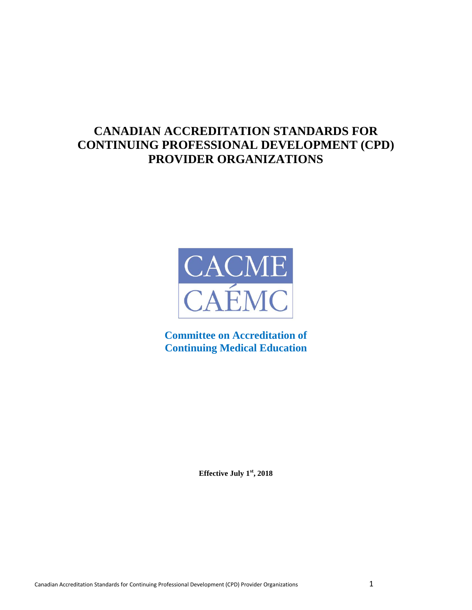# **CANADIAN ACCREDITATION STANDARDS FOR CONTINUING PROFESSIONAL DEVELOPMENT (CPD) PROVIDER ORGANIZATIONS**



**Committee on Accreditation of Continuing Medical Education**

**Effective July 1st, 2018**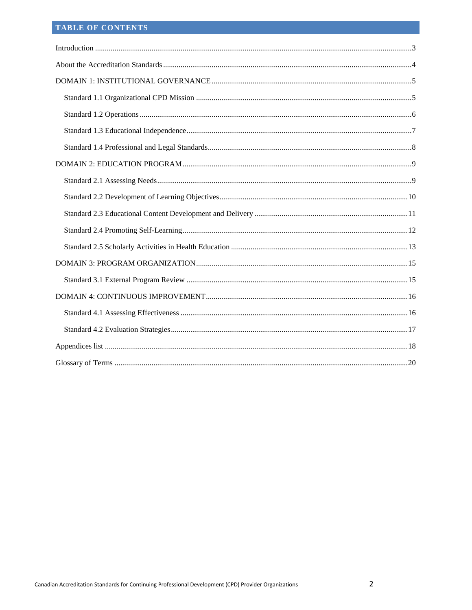## TABLE OF CONTENTS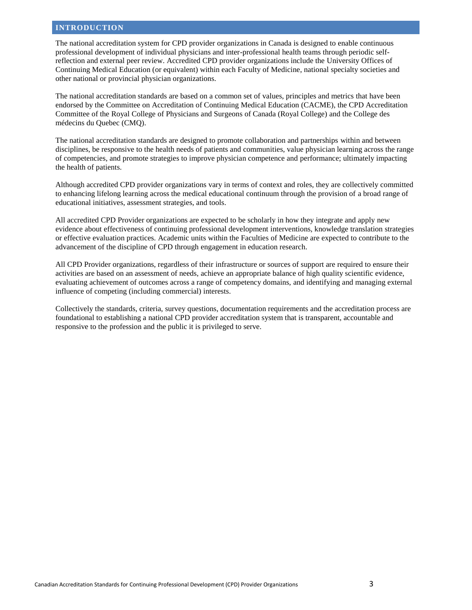## <span id="page-2-0"></span>**INTRODUCTION**

The national accreditation system for CPD provider organizations in Canada is designed to enable continuous professional development of individual physicians and inter-professional health teams through periodic selfreflection and external peer review. Accredited CPD provider organizations include the University Offices of Continuing Medical Education (or equivalent) within each Faculty of Medicine, national specialty societies and other national or provincial physician organizations.

The national accreditation standards are based on a common set of values, principles and metrics that have been endorsed by the Committee on Accreditation of Continuing Medical Education (CACME), the CPD Accreditation Committee of the Royal College of Physicians and Surgeons of Canada (Royal College) and the College des médecins du Quebec (CMQ).

The national accreditation standards are designed to promote collaboration and partnerships within and between disciplines, be responsive to the health needs of patients and communities, value physician learning across the range of competencies, and promote strategies to improve physician competence and performance; ultimately impacting the health of patients.

Although accredited CPD provider organizations vary in terms of context and roles, they are collectively committed to enhancing lifelong learning across the medical educational continuum through the provision of a broad range of educational initiatives, assessment strategies, and tools.

All accredited CPD Provider organizations are expected to be scholarly in how they integrate and apply new evidence about effectiveness of continuing professional development interventions, knowledge translation strategies or effective evaluation practices. Academic units within the Faculties of Medicine are expected to contribute to the advancement of the discipline of CPD through engagement in education research.

All CPD Provider organizations, regardless of their infrastructure or sources of support are required to ensure their activities are based on an assessment of needs, achieve an appropriate balance of high quality scientific evidence, evaluating achievement of outcomes across a range of competency domains, and identifying and managing external influence of competing (including commercial) interests.

Collectively the standards, criteria, survey questions, documentation requirements and the accreditation process are foundational to establishing a national CPD provider accreditation system that is transparent, accountable and responsive to the profession and the public it is privileged to serve.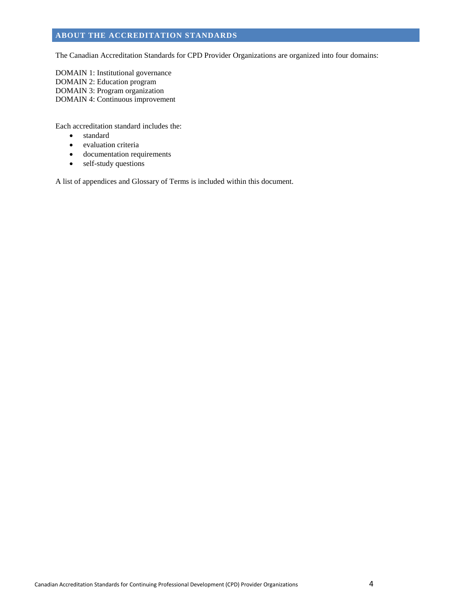## <span id="page-3-0"></span>**ABOUT THE ACCREDITATION STANDARDS**

The Canadian Accreditation Standards for CPD Provider Organizations are organized into four domains:

DOMAIN 1: Institutional governance DOMAIN 2: Education program DOMAIN 3: Program organization DOMAIN 4: Continuous improvement

Each accreditation standard includes the:

- standard
- evaluation criteria
- documentation requirements
- self-study questions

A list of appendices and Glossary of Terms is included within this document.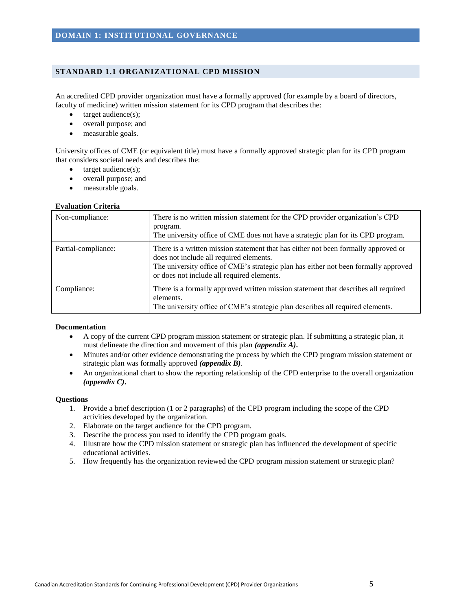#### <span id="page-4-1"></span><span id="page-4-0"></span>**STANDARD 1.1 ORGANIZATIONAL CPD MISSION**

An accredited CPD provider organization must have a formally approved (for example by a board of directors, faculty of medicine) written mission statement for its CPD program that describes the:

- target audience(s);
- overall purpose; and
- measurable goals.

University offices of CME (or equivalent title) must have a formally approved strategic plan for its CPD program that considers societal needs and describes the:

- $\bullet$  target audience(s);
- overall purpose; and
- measurable goals.

#### **Evaluation Criteria**

| Non-compliance:     | There is no written mission statement for the CPD provider organization's CPD<br>program.<br>The university office of CME does not have a strategic plan for its CPD program.                                                                                      |
|---------------------|--------------------------------------------------------------------------------------------------------------------------------------------------------------------------------------------------------------------------------------------------------------------|
| Partial-compliance: | There is a written mission statement that has either not been formally approved or<br>does not include all required elements.<br>The university office of CME's strategic plan has either not been formally approved<br>or does not include all required elements. |
| Compliance:         | There is a formally approved written mission statement that describes all required<br>elements.<br>The university office of CME's strategic plan describes all required elements.                                                                                  |

#### **Documentation**

- A copy of the current CPD program mission statement or strategic plan. If submitting a strategic plan, it must delineate the direction and movement of this plan *(appendix A)***.**
- Minutes and/or other evidence demonstrating the process by which the CPD program mission statement or strategic plan was formally approved *(appendix B)*.
- An organizational chart to show the reporting relationship of the CPD enterprise to the overall organization *(appendix C)***.**

- 1. Provide a brief description (1 or 2 paragraphs) of the CPD program including the scope of the CPD activities developed by the organization.
- 2. Elaborate on the target audience for the CPD program.
- 3. Describe the process you used to identify the CPD program goals.
- 4. Illustrate how the CPD mission statement or strategic plan has influenced the development of specific educational activities.
- 5. How frequently has the organization reviewed the CPD program mission statement or strategic plan?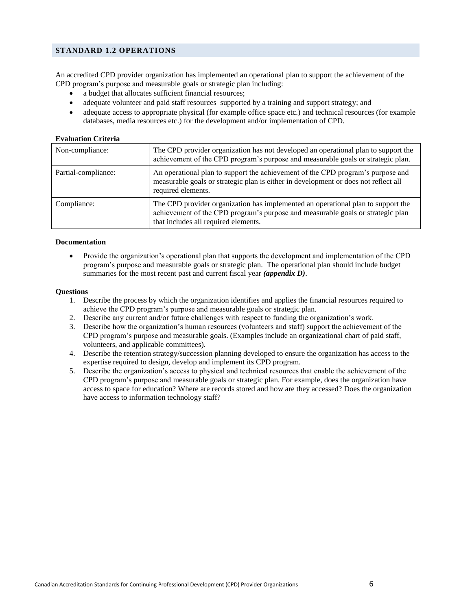## <span id="page-5-0"></span>**STANDARD 1.2 OPERATIONS**

An accredited CPD provider organization has implemented an operational plan to support the achievement of the CPD program's purpose and measurable goals or strategic plan including:

- a budget that allocates sufficient financial resources;
- adequate volunteer and paid staff resources supported by a training and support strategy; and
- adequate access to appropriate physical (for example office space etc.) and technical resources (for example databases, media resources etc.) for the development and/or implementation of CPD.

#### **Evaluation Criteria**

| Non-compliance:     | The CPD provider organization has not developed an operational plan to support the<br>achievement of the CPD program's purpose and measurable goals or strategic plan.                                      |
|---------------------|-------------------------------------------------------------------------------------------------------------------------------------------------------------------------------------------------------------|
| Partial-compliance: | An operational plan to support the achievement of the CPD program's purpose and<br>measurable goals or strategic plan is either in development or does not reflect all<br>required elements.                |
| Compliance:         | The CPD provider organization has implemented an operational plan to support the<br>achievement of the CPD program's purpose and measurable goals or strategic plan<br>that includes all required elements. |

#### **Documentation**

 Provide the organization's operational plan that supports the development and implementation of the CPD program's purpose and measurable goals or strategic plan. The operational plan should include budget summaries for the most recent past and current fiscal year *(appendix D)*.

- 1. Describe the process by which the organization identifies and applies the financial resources required to achieve the CPD program's purpose and measurable goals or strategic plan.
- 2. Describe any current and/or future challenges with respect to funding the organization's work.
- 3. Describe how the organization's human resources (volunteers and staff) support the achievement of the CPD program's purpose and measurable goals. (Examples include an organizational chart of paid staff, volunteers, and applicable committees).
- 4. Describe the retention strategy/succession planning developed to ensure the organization has access to the expertise required to design, develop and implement its CPD program.
- 5. Describe the organization's access to physical and technical resources that enable the achievement of the CPD program's purpose and measurable goals or strategic plan. For example, does the organization have access to space for education? Where are records stored and how are they accessed? Does the organization have access to information technology staff?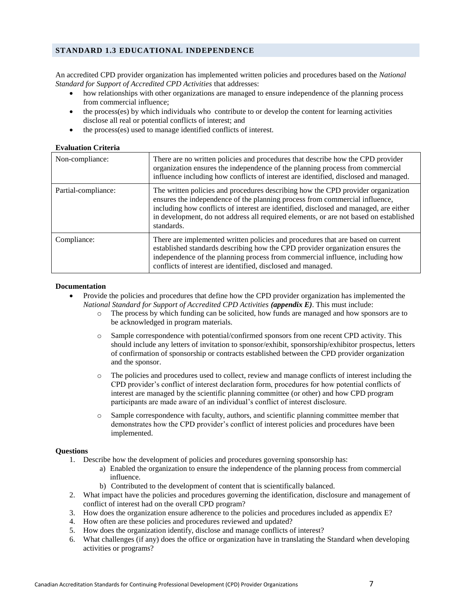## <span id="page-6-0"></span>**STANDARD 1.3 EDUCATIONAL INDEPENDENCE**

An accredited CPD provider organization has implemented written policies and procedures based on the *National Standard for Support of Accredited CPD Activities* that addresses:

- how relationships with other organizations are managed to ensure independence of the planning process from commercial influence;
- the process(es) by which individuals who contribute to or develop the content for learning activities disclose all real or potential conflicts of interest; and
- the process(es) used to manage identified conflicts of interest.

#### **Evaluation Criteria**

| Non-compliance:     | There are no written policies and procedures that describe how the CPD provider<br>organization ensures the independence of the planning process from commercial<br>influence including how conflicts of interest are identified, disclosed and managed.                                                                                                        |
|---------------------|-----------------------------------------------------------------------------------------------------------------------------------------------------------------------------------------------------------------------------------------------------------------------------------------------------------------------------------------------------------------|
| Partial-compliance: | The written policies and procedures describing how the CPD provider organization<br>ensures the independence of the planning process from commercial influence,<br>including how conflicts of interest are identified, disclosed and managed, are either<br>in development, do not address all required elements, or are not based on established<br>standards. |
| Compliance:         | There are implemented written policies and procedures that are based on current<br>established standards describing how the CPD provider organization ensures the<br>independence of the planning process from commercial influence, including how<br>conflicts of interest are identified, disclosed and managed.                                              |

#### **Documentation**

- Provide the policies and procedures that define how the CPD provider organization has implemented the *National Standard for Support of Accredited CPD Activities (appendix E)*. This must include:
	- o The process by which funding can be solicited, how funds are managed and how sponsors are to be acknowledged in program materials.
	- o Sample correspondence with potential/confirmed sponsors from one recent CPD activity. This should include any letters of invitation to sponsor/exhibit, sponsorship/exhibitor prospectus, letters of confirmation of sponsorship or contracts established between the CPD provider organization and the sponsor.
	- o The policies and procedures used to collect, review and manage conflicts of interest including the CPD provider's conflict of interest declaration form, procedures for how potential conflicts of interest are managed by the scientific planning committee (or other) and how CPD program participants are made aware of an individual's conflict of interest disclosure.
	- o Sample correspondence with faculty, authors, and scientific planning committee member that demonstrates how the CPD provider's conflict of interest policies and procedures have been implemented.

- 1. Describe how the development of policies and procedures governing sponsorship has:
	- a) Enabled the organization to ensure the independence of the planning process from commercial influence.
	- b) Contributed to the development of content that is scientifically balanced.
- 2. What impact have the policies and procedures governing the identification, disclosure and management of conflict of interest had on the overall CPD program?
- 3. How does the organization ensure adherence to the policies and procedures included as appendix E?
- 4. How often are these policies and procedures reviewed and updated?
- 5. How does the organization identify, disclose and manage conflicts of interest?
- 6. What challenges (if any) does the office or organization have in translating the Standard when developing activities or programs?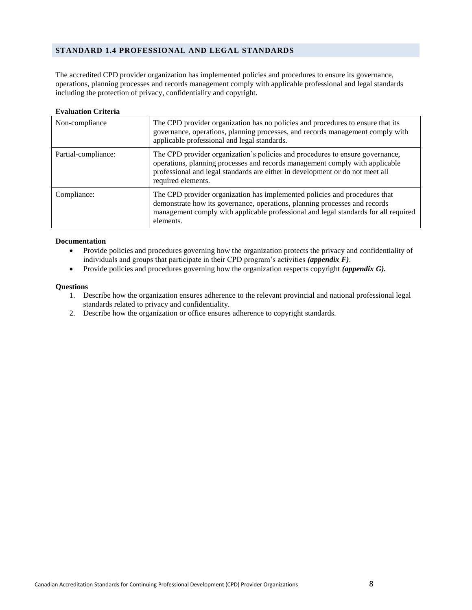## <span id="page-7-0"></span>**STANDARD 1.4 PROFESSIONAL AND LEGAL STANDARDS**

The accredited CPD provider organization has implemented policies and procedures to ensure its governance, operations, planning processes and records management comply with applicable professional and legal standards including the protection of privacy, confidentiality and copyright.

## **Evaluation Criteria**

| Non-compliance      | The CPD provider organization has no policies and procedures to ensure that its<br>governance, operations, planning processes, and records management comply with<br>applicable professional and legal standards.                                                    |
|---------------------|----------------------------------------------------------------------------------------------------------------------------------------------------------------------------------------------------------------------------------------------------------------------|
| Partial-compliance: | The CPD provider organization's policies and procedures to ensure governance,<br>operations, planning processes and records management comply with applicable<br>professional and legal standards are either in development or do not meet all<br>required elements. |
| Compliance:         | The CPD provider organization has implemented policies and procedures that<br>demonstrate how its governance, operations, planning processes and records<br>management comply with applicable professional and legal standards for all required<br>elements.         |

#### **Documentation**

- Provide policies and procedures governing how the organization protects the privacy and confidentiality of individuals and groups that participate in their CPD program's activities *(appendix F)*.
- Provide policies and procedures governing how the organization respects copyright *(appendix G).*

- 1. Describe how the organization ensures adherence to the relevant provincial and national professional legal standards related to privacy and confidentiality.
- 2. Describe how the organization or office ensures adherence to copyright standards.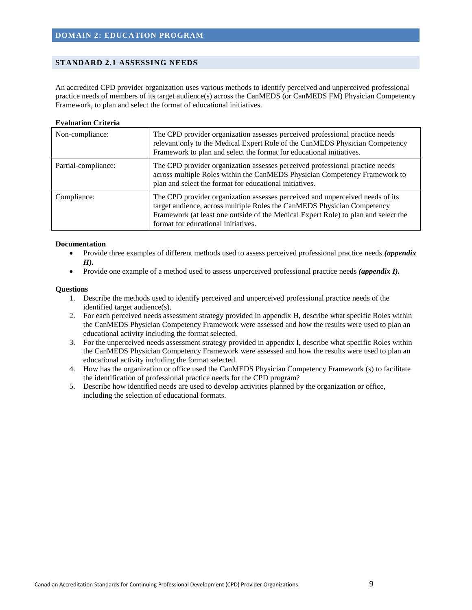## <span id="page-8-1"></span><span id="page-8-0"></span>**STANDARD 2.1 ASSESSING NEEDS**

An accredited CPD provider organization uses various methods to identify perceived and unperceived professional practice needs of members of its target audience(s) across the CanMEDS (or CanMEDS FM) Physician Competency Framework, to plan and select the format of educational initiatives.

## **Evaluation Criteria**

| Non-compliance:     | The CPD provider organization assesses perceived professional practice needs<br>relevant only to the Medical Expert Role of the CanMEDS Physician Competency<br>Framework to plan and select the format for educational initiatives.                                                  |
|---------------------|---------------------------------------------------------------------------------------------------------------------------------------------------------------------------------------------------------------------------------------------------------------------------------------|
| Partial-compliance: | The CPD provider organization assesses perceived professional practice needs<br>across multiple Roles within the CanMEDS Physician Competency Framework to<br>plan and select the format for educational initiatives.                                                                 |
| Compliance:         | The CPD provider organization assesses perceived and unperceived needs of its<br>target audience, across multiple Roles the CanMEDS Physician Competency<br>Framework (at least one outside of the Medical Expert Role) to plan and select the<br>format for educational initiatives. |

#### **Documentation**

- Provide three examples of different methods used to assess perceived professional practice needs *(appendix H).*
- Provide one example of a method used to assess unperceived professional practice needs *(appendix I)*.

- 1. Describe the methods used to identify perceived and unperceived professional practice needs of the identified target audience(s).
- 2. For each perceived needs assessment strategy provided in appendix H, describe what specific Roles within the CanMEDS Physician Competency Framework were assessed and how the results were used to plan an educational activity including the format selected.
- 3. For the unperceived needs assessment strategy provided in appendix I, describe what specific Roles within the CanMEDS Physician Competency Framework were assessed and how the results were used to plan an educational activity including the format selected.
- 4. How has the organization or office used the CanMEDS Physician Competency Framework (s) to facilitate the identification of professional practice needs for the CPD program?
- 5. Describe how identified needs are used to develop activities planned by the organization or office, including the selection of educational formats.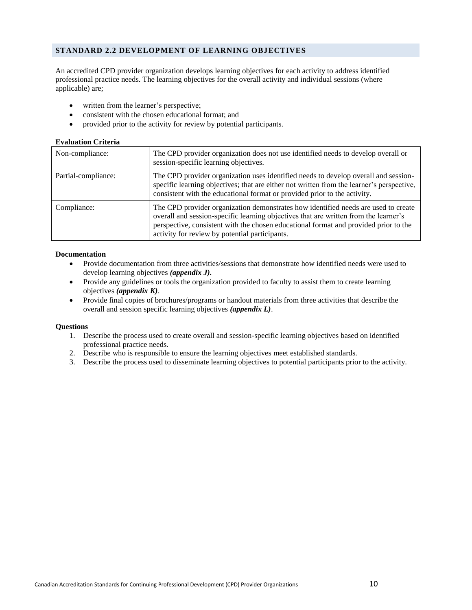## <span id="page-9-0"></span>**STANDARD 2.2 DEVELOPMENT OF LEARNING OBJECTIVES**

An accredited CPD provider organization develops learning objectives for each activity to address identified professional practice needs. The learning objectives for the overall activity and individual sessions (where applicable) are;

- written from the learner's perspective;
- consistent with the chosen educational format; and
- provided prior to the activity for review by potential participants.

#### **Evaluation Criteria**

| Non-compliance:     | The CPD provider organization does not use identified needs to develop overall or<br>session-specific learning objectives.                                                                                                                                                                                           |
|---------------------|----------------------------------------------------------------------------------------------------------------------------------------------------------------------------------------------------------------------------------------------------------------------------------------------------------------------|
| Partial-compliance: | The CPD provider organization uses identified needs to develop overall and session-<br>specific learning objectives; that are either not written from the learner's perspective,<br>consistent with the educational format or provided prior to the activity.                                                        |
| Compliance:         | The CPD provider organization demonstrates how identified needs are used to create<br>overall and session-specific learning objectives that are written from the learner's<br>perspective, consistent with the chosen educational format and provided prior to the<br>activity for review by potential participants. |

#### **Documentation**

- Provide documentation from three activities/sessions that demonstrate how identified needs were used to develop learning objectives *(appendix J).*
- Provide any guidelines or tools the organization provided to faculty to assist them to create learning objectives *(appendix K)*.
- Provide final copies of brochures/programs or handout materials from three activities that describe the overall and session specific learning objectives *(appendix L)*.

- 1. Describe the process used to create overall and session-specific learning objectives based on identified professional practice needs.
- 2. Describe who is responsible to ensure the learning objectives meet established standards.
- 3. Describe the process used to disseminate learning objectives to potential participants prior to the activity.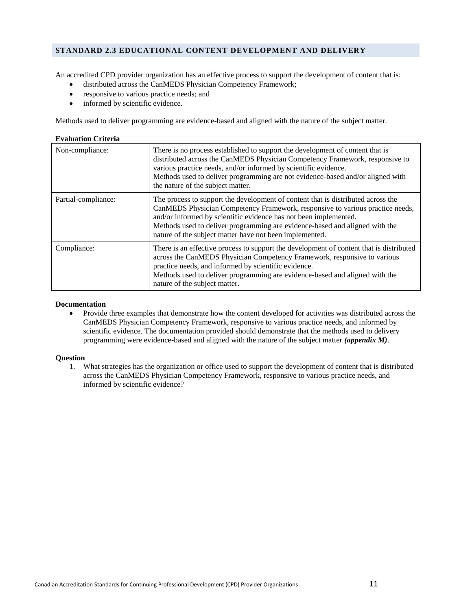## <span id="page-10-0"></span>**STANDARD 2.3 EDUCATIONAL CONTENT DEVELOPMENT AND DELIVERY**

An accredited CPD provider organization has an effective process to support the development of content that is:

- distributed across the CanMEDS Physician Competency Framework;
- responsive to various practice needs; and
- informed by scientific evidence.

Methods used to deliver programming are evidence-based and aligned with the nature of the subject matter.

| <b>Evaluation Criteria</b> |                                                                                                                                                                                                                                                                                                                                                                                 |
|----------------------------|---------------------------------------------------------------------------------------------------------------------------------------------------------------------------------------------------------------------------------------------------------------------------------------------------------------------------------------------------------------------------------|
| Non-compliance:            | There is no process established to support the development of content that is<br>distributed across the CanMEDS Physician Competency Framework, responsive to<br>various practice needs, and/or informed by scientific evidence.<br>Methods used to deliver programming are not evidence-based and/or aligned with<br>the nature of the subject matter.                         |
| Partial-compliance:        | The process to support the development of content that is distributed across the<br>CanMEDS Physician Competency Framework, responsive to various practice needs,<br>and/or informed by scientific evidence has not been implemented.<br>Methods used to deliver programming are evidence-based and aligned with the<br>nature of the subject matter have not been implemented. |
| Compliance:                | There is an effective process to support the development of content that is distributed<br>across the CanMEDS Physician Competency Framework, responsive to various<br>practice needs, and informed by scientific evidence.<br>Methods used to deliver programming are evidence-based and aligned with the<br>nature of the subject matter.                                     |

#### **Documentation**

 Provide three examples that demonstrate how the content developed for activities was distributed across the CanMEDS Physician Competency Framework, responsive to various practice needs, and informed by scientific evidence. The documentation provided should demonstrate that the methods used to delivery programming were evidence-based and aligned with the nature of the subject matter *(appendix M)*.

#### **Question**

1. What strategies has the organization or office used to support the development of content that is distributed across the CanMEDS Physician Competency Framework, responsive to various practice needs, and informed by scientific evidence?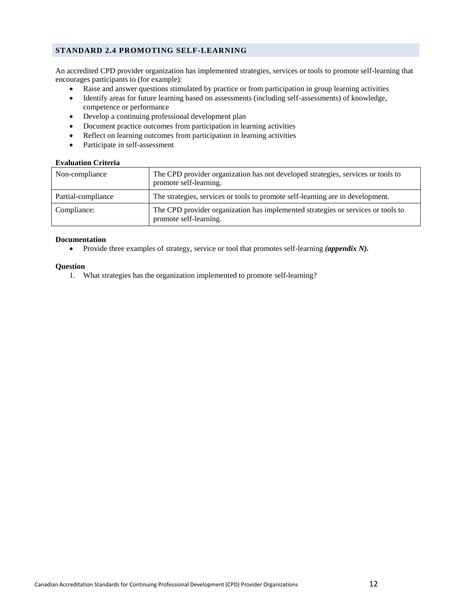## <span id="page-11-0"></span>**STANDARD 2.4 PROMOTING SELF-LEARNING**

An accredited CPD provider organization has implemented strategies, services or tools to promote self-learning that encourages participants to (for example):

- Raise and answer questions stimulated by practice or from participation in group learning activities
- Identify areas for future learning based on assessments (including self-assessments) of knowledge, competence or performance
- Develop a continuing professional development plan
- Document practice outcomes from participation in learning activities
- Reflect on learning outcomes from participation in learning activities
- Participate in self-assessment

#### **Evaluation Criteria**

| Non-compliance     | The CPD provider organization has not developed strategies, services or tools to<br>promote self-learning. |
|--------------------|------------------------------------------------------------------------------------------------------------|
| Partial-compliance | The strategies, services or tools to promote self-learning are in development.                             |
| Compliance:        | The CPD provider organization has implemented strategies or services or tools to<br>promote self-learning. |

#### **Documentation**

• Provide three examples of strategy, service or tool that promotes self-learning *(appendix N)*.

#### **Question**

1. What strategies has the organization implemented to promote self-learning?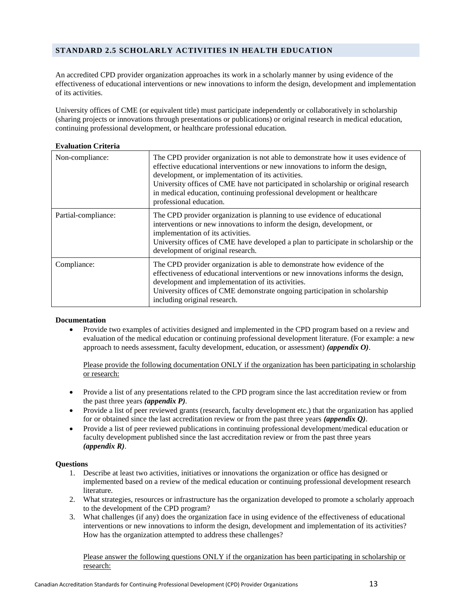## <span id="page-12-0"></span>**STANDARD 2.5 SCHOLARLY ACTIVITIES IN HEALTH EDUCATION**

An accredited CPD provider organization approaches its work in a scholarly manner by using evidence of the effectiveness of educational interventions or new innovations to inform the design, development and implementation of its activities.

University offices of CME (or equivalent title) must participate independently or collaboratively in scholarship (sharing projects or innovations through presentations or publications) or original research in medical education, continuing professional development, or healthcare professional education.

| Non-compliance:     | The CPD provider organization is not able to demonstrate how it uses evidence of<br>effective educational interventions or new innovations to inform the design,<br>development, or implementation of its activities.<br>University offices of CME have not participated in scholarship or original research<br>in medical education, continuing professional development or healthcare<br>professional education. |
|---------------------|--------------------------------------------------------------------------------------------------------------------------------------------------------------------------------------------------------------------------------------------------------------------------------------------------------------------------------------------------------------------------------------------------------------------|
| Partial-compliance: | The CPD provider organization is planning to use evidence of educational<br>interventions or new innovations to inform the design, development, or<br>implementation of its activities.<br>University offices of CME have developed a plan to participate in scholarship or the<br>development of original research.                                                                                               |
| Compliance:         | The CPD provider organization is able to demonstrate how evidence of the<br>effectiveness of educational interventions or new innovations informs the design,<br>development and implementation of its activities.<br>University offices of CME demonstrate ongoing participation in scholarship<br>including original research.                                                                                   |

## **Evaluation Criteria**

#### **Documentation**

• Provide two examples of activities designed and implemented in the CPD program based on a review and evaluation of the medical education or continuing professional development literature. (For example: a new approach to needs assessment, faculty development, education, or assessment) *(appendix O)*.

Please provide the following documentation ONLY if the organization has been participating in scholarship or research:

- Provide a list of any presentations related to the CPD program since the last accreditation review or from the past three years *(appendix P).*
- Provide a list of peer reviewed grants (research, faculty development etc.) that the organization has applied for or obtained since the last accreditation review or from the past three years *(appendix Q)*.
- Provide a list of peer reviewed publications in continuing professional development/medical education or faculty development published since the last accreditation review or from the past three years *(appendix R)*.

## **Questions**

- 1. Describe at least two activities, initiatives or innovations the organization or office has designed or implemented based on a review of the medical education or continuing professional development research literature.
- 2. What strategies, resources or infrastructure has the organization developed to promote a scholarly approach to the development of the CPD program?
- 3. What challenges (if any) does the organization face in using evidence of the effectiveness of educational interventions or new innovations to inform the design, development and implementation of its activities? How has the organization attempted to address these challenges?

Please answer the following questions ONLY if the organization has been participating in scholarship or research: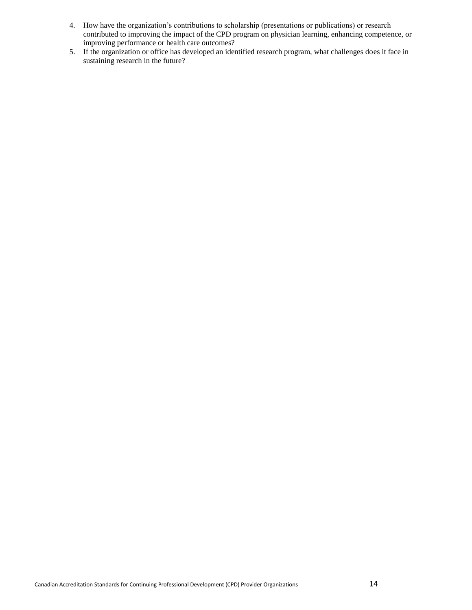- 4. How have the organization's contributions to scholarship (presentations or publications) or research contributed to improving the impact of the CPD program on physician learning, enhancing competence, or improving performance or health care outcomes?
- 5. If the organization or office has developed an identified research program, what challenges does it face in sustaining research in the future?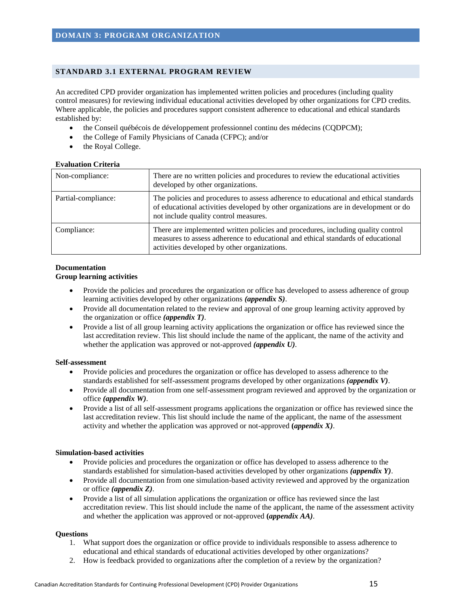#### <span id="page-14-1"></span><span id="page-14-0"></span>**STANDARD 3.1 EXTERNAL PROGRAM REVIEW**

An accredited CPD provider organization has implemented written policies and procedures (including quality control measures) for reviewing individual educational activities developed by other organizations for CPD credits. Where applicable, the policies and procedures support consistent adherence to educational and ethical standards established by:

- the Conseil québécois de développement professionnel continu des médecins (CQDPCM);
- the College of Family Physicians of Canada (CFPC); and/or
- the Royal College.

#### **Evaluation Criteria**

| Non-compliance:     | There are no written policies and procedures to review the educational activities<br>developed by other organizations.                                                                                               |
|---------------------|----------------------------------------------------------------------------------------------------------------------------------------------------------------------------------------------------------------------|
| Partial-compliance: | The policies and procedures to assess adherence to educational and ethical standards<br>of educational activities developed by other organizations are in development or do<br>not include quality control measures. |
| Compliance:         | There are implemented written policies and procedures, including quality control<br>measures to assess adherence to educational and ethical standards of educational<br>activities developed by other organizations. |

## **Documentation**

## **Group learning activities**

- Provide the policies and procedures the organization or office has developed to assess adherence of group learning activities developed by other organizations *(appendix S)*.
- Provide all documentation related to the review and approval of one group learning activity approved by the organization or office *(appendix T)*.
- Provide a list of all group learning activity applications the organization or office has reviewed since the last accreditation review. This list should include the name of the applicant, the name of the activity and whether the application was approved or not-approved *(appendix U).*

## **Self-assessment**

- Provide policies and procedures the organization or office has developed to assess adherence to the standards established for self-assessment programs developed by other organizations *(appendix V)*.
- Provide all documentation from one self-assessment program reviewed and approved by the organization or office *(appendix W)*.
- Provide a list of all self-assessment programs applications the organization or office has reviewed since the last accreditation review. This list should include the name of the applicant, the name of the assessment activity and whether the application was approved or not-approved **(***appendix X)*.

## **Simulation-based activities**

- Provide policies and procedures the organization or office has developed to assess adherence to the standards established for simulation-based activities developed by other organizations *(appendix Y)*.
- Provide all documentation from one simulation-based activity reviewed and approved by the organization or office *(appendix Z)*.
- Provide a list of all simulation applications the organization or office has reviewed since the last accreditation review. This list should include the name of the applicant, the name of the assessment activity and whether the application was approved or not-approved **(***appendix AA)*.

- 1. What support does the organization or office provide to individuals responsible to assess adherence to educational and ethical standards of educational activities developed by other organizations?
- 2. How is feedback provided to organizations after the completion of a review by the organization?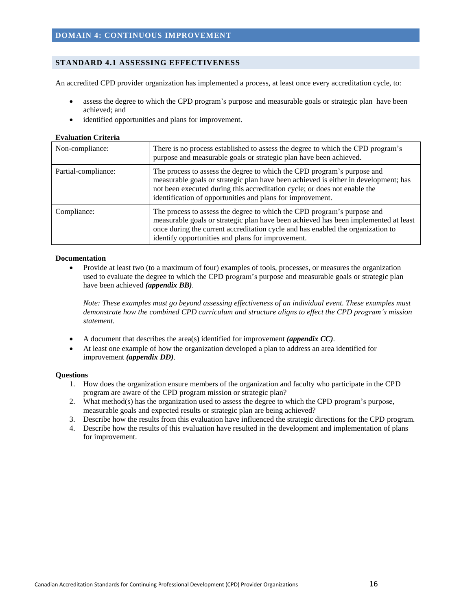## <span id="page-15-1"></span><span id="page-15-0"></span>**STANDARD 4.1 ASSESSING EFFECTIVENESS**

An accredited CPD provider organization has implemented a process, at least once every accreditation cycle, to:

- assess the degree to which the CPD program's purpose and measurable goals or strategic plan have been achieved; and
- identified opportunities and plans for improvement.

#### **Evaluation Criteria**

| Non-compliance:     | There is no process established to assess the degree to which the CPD program's<br>purpose and measurable goals or strategic plan have been achieved.                                                                                                                                                     |
|---------------------|-----------------------------------------------------------------------------------------------------------------------------------------------------------------------------------------------------------------------------------------------------------------------------------------------------------|
| Partial-compliance: | The process to assess the degree to which the CPD program's purpose and<br>measurable goals or strategic plan have been achieved is either in development; has<br>not been executed during this accreditation cycle; or does not enable the<br>identification of opportunities and plans for improvement. |
| Compliance:         | The process to assess the degree to which the CPD program's purpose and<br>measurable goals or strategic plan have been achieved has been implemented at least<br>once during the current accreditation cycle and has enabled the organization to<br>identify opportunities and plans for improvement.    |

## **Documentation**

 Provide at least two (to a maximum of four) examples of tools, processes, or measures the organization used to evaluate the degree to which the CPD program's purpose and measurable goals or strategic plan have been achieved *(appendix BB)*.

*Note: These examples must go beyond assessing effectiveness of an individual event. These examples must demonstrate how the combined CPD curriculum and structure aligns to effect the CPD program's mission statement.*

- A document that describes the area(s) identified for improvement *(appendix CC).*
- At least one example of how the organization developed a plan to address an area identified for improvement *(appendix DD)*.

- 1. How does the organization ensure members of the organization and faculty who participate in the CPD program are aware of the CPD program mission or strategic plan?
- 2. What method(s) has the organization used to assess the degree to which the CPD program's purpose, measurable goals and expected results or strategic plan are being achieved?
- 3. Describe how the results from this evaluation have influenced the strategic directions for the CPD program.
- 4. Describe how the results of this evaluation have resulted in the development and implementation of plans for improvement.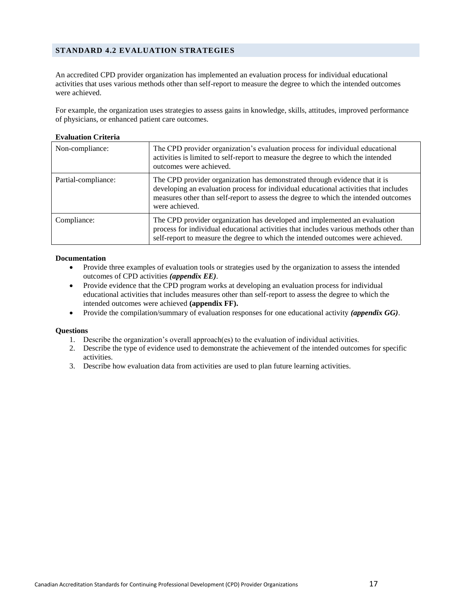## <span id="page-16-0"></span>**STANDARD 4.2 EVALUATION STRATEGIES**

An accredited CPD provider organization has implemented an evaluation process for individual educational activities that uses various methods other than self-report to measure the degree to which the intended outcomes were achieved.

For example, the organization uses strategies to assess gains in knowledge, skills, attitudes, improved performance of physicians, or enhanced patient care outcomes.

## **Evaluation Criteria**

| Non-compliance:     | The CPD provider organization's evaluation process for individual educational<br>activities is limited to self-report to measure the degree to which the intended<br>outcomes were achieved.                                                                                |
|---------------------|-----------------------------------------------------------------------------------------------------------------------------------------------------------------------------------------------------------------------------------------------------------------------------|
| Partial-compliance: | The CPD provider organization has demonstrated through evidence that it is<br>developing an evaluation process for individual educational activities that includes<br>measures other than self-report to assess the degree to which the intended outcomes<br>were achieved. |
| Compliance:         | The CPD provider organization has developed and implemented an evaluation<br>process for individual educational activities that includes various methods other than<br>self-report to measure the degree to which the intended outcomes were achieved.                      |

#### **Documentation**

- Provide three examples of evaluation tools or strategies used by the organization to assess the intended outcomes of CPD activities *(appendix EE)*.
- Provide evidence that the CPD program works at developing an evaluation process for individual educational activities that includes measures other than self-report to assess the degree to which the intended outcomes were achieved **(appendix FF).**
- Provide the compilation/summary of evaluation responses for one educational activity *(appendix GG)*.

- 1. Describe the organization's overall approach(es) to the evaluation of individual activities.
- 2. Describe the type of evidence used to demonstrate the achievement of the intended outcomes for specific activities.
- 3. Describe how evaluation data from activities are used to plan future learning activities.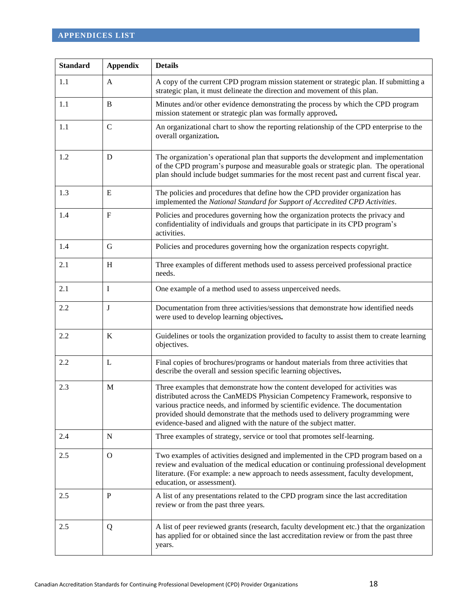<span id="page-17-0"></span>

| <b>Standard</b> | <b>Appendix</b> | <b>Details</b>                                                                                                                                                                                                                                                                                                                                                                                        |
|-----------------|-----------------|-------------------------------------------------------------------------------------------------------------------------------------------------------------------------------------------------------------------------------------------------------------------------------------------------------------------------------------------------------------------------------------------------------|
| 1.1             | A               | A copy of the current CPD program mission statement or strategic plan. If submitting a<br>strategic plan, it must delineate the direction and movement of this plan.                                                                                                                                                                                                                                  |
| 1.1             | B               | Minutes and/or other evidence demonstrating the process by which the CPD program<br>mission statement or strategic plan was formally approved.                                                                                                                                                                                                                                                        |
| 1.1             | $\mathcal{C}$   | An organizational chart to show the reporting relationship of the CPD enterprise to the<br>overall organization.                                                                                                                                                                                                                                                                                      |
| 1.2             | D               | The organization's operational plan that supports the development and implementation<br>of the CPD program's purpose and measurable goals or strategic plan. The operational<br>plan should include budget summaries for the most recent past and current fiscal year.                                                                                                                                |
| 1.3             | E               | The policies and procedures that define how the CPD provider organization has<br>implemented the National Standard for Support of Accredited CPD Activities.                                                                                                                                                                                                                                          |
| 1.4             | $\mathbf{F}$    | Policies and procedures governing how the organization protects the privacy and<br>confidentiality of individuals and groups that participate in its CPD program's<br>activities.                                                                                                                                                                                                                     |
| 1.4             | G               | Policies and procedures governing how the organization respects copyright.                                                                                                                                                                                                                                                                                                                            |
| 2.1             | H               | Three examples of different methods used to assess perceived professional practice<br>needs.                                                                                                                                                                                                                                                                                                          |
| 2.1             | I               | One example of a method used to assess unperceived needs.                                                                                                                                                                                                                                                                                                                                             |
| 2.2             | J               | Documentation from three activities/sessions that demonstrate how identified needs<br>were used to develop learning objectives.                                                                                                                                                                                                                                                                       |
| 2.2             | K               | Guidelines or tools the organization provided to faculty to assist them to create learning<br>objectives.                                                                                                                                                                                                                                                                                             |
| 2.2             | L               | Final copies of brochures/programs or handout materials from three activities that<br>describe the overall and session specific learning objectives.                                                                                                                                                                                                                                                  |
| 2.3             | M               | Three examples that demonstrate how the content developed for activities was<br>distributed across the CanMEDS Physician Competency Framework, responsive to<br>various practice needs, and informed by scientific evidence. The documentation<br>provided should demonstrate that the methods used to delivery programming were<br>evidence-based and aligned with the nature of the subject matter. |
| 2.4             | N               | Three examples of strategy, service or tool that promotes self-learning.                                                                                                                                                                                                                                                                                                                              |
| 2.5             | $\mathbf{O}$    | Two examples of activities designed and implemented in the CPD program based on a<br>review and evaluation of the medical education or continuing professional development<br>literature. (For example: a new approach to needs assessment, faculty development,<br>education, or assessment).                                                                                                        |
| 2.5             | $\mathbf{P}$    | A list of any presentations related to the CPD program since the last accreditation<br>review or from the past three years.                                                                                                                                                                                                                                                                           |
| 2.5             | Q               | A list of peer reviewed grants (research, faculty development etc.) that the organization<br>has applied for or obtained since the last accreditation review or from the past three<br>years.                                                                                                                                                                                                         |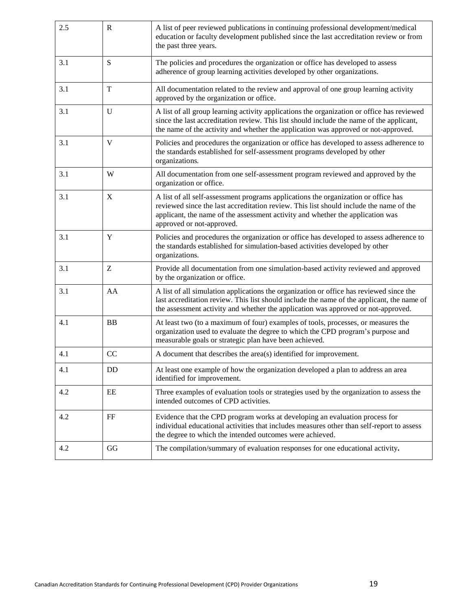| 2.5 | $\mathbf R$ | A list of peer reviewed publications in continuing professional development/medical<br>education or faculty development published since the last accreditation review or from<br>the past three years.                                                                                      |
|-----|-------------|---------------------------------------------------------------------------------------------------------------------------------------------------------------------------------------------------------------------------------------------------------------------------------------------|
| 3.1 | S           | The policies and procedures the organization or office has developed to assess<br>adherence of group learning activities developed by other organizations.                                                                                                                                  |
| 3.1 | T           | All documentation related to the review and approval of one group learning activity<br>approved by the organization or office.                                                                                                                                                              |
| 3.1 | U           | A list of all group learning activity applications the organization or office has reviewed<br>since the last accreditation review. This list should include the name of the applicant,<br>the name of the activity and whether the application was approved or not-approved.                |
| 3.1 | V           | Policies and procedures the organization or office has developed to assess adherence to<br>the standards established for self-assessment programs developed by other<br>organizations.                                                                                                      |
| 3.1 | W           | All documentation from one self-assessment program reviewed and approved by the<br>organization or office.                                                                                                                                                                                  |
| 3.1 | X           | A list of all self-assessment programs applications the organization or office has<br>reviewed since the last accreditation review. This list should include the name of the<br>applicant, the name of the assessment activity and whether the application was<br>approved or not-approved. |
| 3.1 | Y           | Policies and procedures the organization or office has developed to assess adherence to<br>the standards established for simulation-based activities developed by other<br>organizations.                                                                                                   |
| 3.1 | Ζ           | Provide all documentation from one simulation-based activity reviewed and approved<br>by the organization or office.                                                                                                                                                                        |
| 3.1 | AA          | A list of all simulation applications the organization or office has reviewed since the<br>last accreditation review. This list should include the name of the applicant, the name of<br>the assessment activity and whether the application was approved or not-approved.                  |
| 4.1 | <b>BB</b>   | At least two (to a maximum of four) examples of tools, processes, or measures the<br>organization used to evaluate the degree to which the CPD program's purpose and<br>measurable goals or strategic plan have been achieved.                                                              |
| 4.1 | CC          | A document that describes the area(s) identified for improvement.                                                                                                                                                                                                                           |
| 4.1 | DD          | At least one example of how the organization developed a plan to address an area<br>identified for improvement.                                                                                                                                                                             |
| 4.2 | EE          | Three examples of evaluation tools or strategies used by the organization to assess the<br>intended outcomes of CPD activities.                                                                                                                                                             |
| 4.2 | $\rm FF$    | Evidence that the CPD program works at developing an evaluation process for<br>individual educational activities that includes measures other than self-report to assess<br>the degree to which the intended outcomes were achieved.                                                        |
| 4.2 | GG          | The compilation/summary of evaluation responses for one educational activity.                                                                                                                                                                                                               |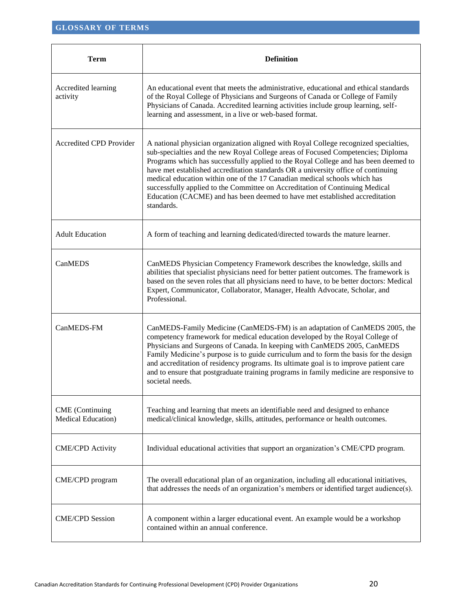<span id="page-19-0"></span>

| <b>Term</b>                                          | <b>Definition</b>                                                                                                                                                                                                                                                                                                                                                                                                                                                                                                                                                                                              |
|------------------------------------------------------|----------------------------------------------------------------------------------------------------------------------------------------------------------------------------------------------------------------------------------------------------------------------------------------------------------------------------------------------------------------------------------------------------------------------------------------------------------------------------------------------------------------------------------------------------------------------------------------------------------------|
| Accredited learning<br>activity                      | An educational event that meets the administrative, educational and ethical standards<br>of the Royal College of Physicians and Surgeons of Canada or College of Family<br>Physicians of Canada. Accredited learning activities include group learning, self-<br>learning and assessment, in a live or web-based format.                                                                                                                                                                                                                                                                                       |
| Accredited CPD Provider                              | A national physician organization aligned with Royal College recognized specialties,<br>sub-specialties and the new Royal College areas of Focused Competencies; Diploma<br>Programs which has successfully applied to the Royal College and has been deemed to<br>have met established accreditation standards OR a university office of continuing<br>medical education within one of the 17 Canadian medical schools which has<br>successfully applied to the Committee on Accreditation of Continuing Medical<br>Education (CACME) and has been deemed to have met established accreditation<br>standards. |
| <b>Adult Education</b>                               | A form of teaching and learning dedicated/directed towards the mature learner.                                                                                                                                                                                                                                                                                                                                                                                                                                                                                                                                 |
| CanMEDS                                              | CanMEDS Physician Competency Framework describes the knowledge, skills and<br>abilities that specialist physicians need for better patient outcomes. The framework is<br>based on the seven roles that all physicians need to have, to be better doctors: Medical<br>Expert, Communicator, Collaborator, Manager, Health Advocate, Scholar, and<br>Professional.                                                                                                                                                                                                                                               |
| CanMEDS-FM                                           | CanMEDS-Family Medicine (CanMEDS-FM) is an adaptation of CanMEDS 2005, the<br>competency framework for medical education developed by the Royal College of<br>Physicians and Surgeons of Canada. In keeping with CanMEDS 2005, CanMEDS<br>Family Medicine's purpose is to guide curriculum and to form the basis for the design<br>and accreditation of residency programs. Its ultimate goal is to improve patient care<br>and to ensure that postgraduate training programs in family medicine are responsive to<br>societal needs.                                                                          |
| <b>CME</b> (Continuing<br><b>Medical Education</b> ) | Teaching and learning that meets an identifiable need and designed to enhance<br>medical/clinical knowledge, skills, attitudes, performance or health outcomes.                                                                                                                                                                                                                                                                                                                                                                                                                                                |
| <b>CME/CPD</b> Activity                              | Individual educational activities that support an organization's CME/CPD program.                                                                                                                                                                                                                                                                                                                                                                                                                                                                                                                              |
| CME/CPD program                                      | The overall educational plan of an organization, including all educational initiatives,<br>that addresses the needs of an organization's members or identified target audience(s).                                                                                                                                                                                                                                                                                                                                                                                                                             |
| <b>CME/CPD Session</b>                               | A component within a larger educational event. An example would be a workshop<br>contained within an annual conference.                                                                                                                                                                                                                                                                                                                                                                                                                                                                                        |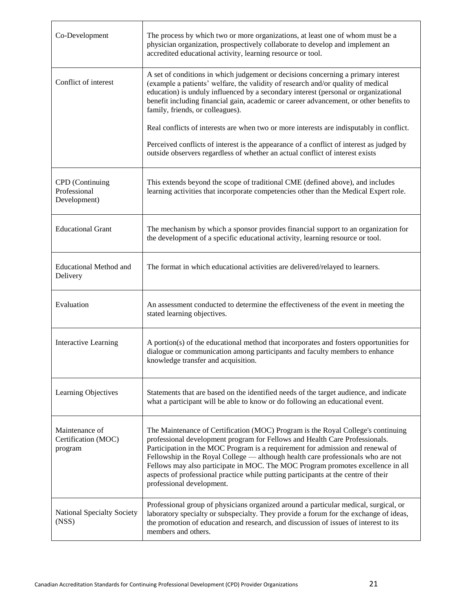| Co-Development                                   | The process by which two or more organizations, at least one of whom must be a<br>physician organization, prospectively collaborate to develop and implement an<br>accredited educational activity, learning resource or tool.                                                                                                                                                                                                                                                                                                              |
|--------------------------------------------------|---------------------------------------------------------------------------------------------------------------------------------------------------------------------------------------------------------------------------------------------------------------------------------------------------------------------------------------------------------------------------------------------------------------------------------------------------------------------------------------------------------------------------------------------|
| Conflict of interest                             | A set of conditions in which judgement or decisions concerning a primary interest<br>(example a patients' welfare, the validity of research and/or quality of medical<br>education) is unduly influenced by a secondary interest (personal or organizational<br>benefit including financial gain, academic or career advancement, or other benefits to<br>family, friends, or colleagues).                                                                                                                                                  |
|                                                  | Real conflicts of interests are when two or more interests are indisputably in conflict.                                                                                                                                                                                                                                                                                                                                                                                                                                                    |
|                                                  | Perceived conflicts of interest is the appearance of a conflict of interest as judged by<br>outside observers regardless of whether an actual conflict of interest exists                                                                                                                                                                                                                                                                                                                                                                   |
| CPD (Continuing<br>Professional<br>Development)  | This extends beyond the scope of traditional CME (defined above), and includes<br>learning activities that incorporate competencies other than the Medical Expert role.                                                                                                                                                                                                                                                                                                                                                                     |
| <b>Educational Grant</b>                         | The mechanism by which a sponsor provides financial support to an organization for<br>the development of a specific educational activity, learning resource or tool.                                                                                                                                                                                                                                                                                                                                                                        |
| <b>Educational Method and</b><br>Delivery        | The format in which educational activities are delivered/relayed to learners.                                                                                                                                                                                                                                                                                                                                                                                                                                                               |
| Evaluation                                       | An assessment conducted to determine the effectiveness of the event in meeting the<br>stated learning objectives.                                                                                                                                                                                                                                                                                                                                                                                                                           |
| <b>Interactive Learning</b>                      | A portion(s) of the educational method that incorporates and fosters opportunities for<br>dialogue or communication among participants and faculty members to enhance<br>knowledge transfer and acquisition.                                                                                                                                                                                                                                                                                                                                |
| Learning Objectives                              | Statements that are based on the identified needs of the target audience, and indicate<br>what a participant will be able to know or do following an educational event.                                                                                                                                                                                                                                                                                                                                                                     |
| Maintenance of<br>Certification (MOC)<br>program | The Maintenance of Certification (MOC) Program is the Royal College's continuing<br>professional development program for Fellows and Health Care Professionals.<br>Participation in the MOC Program is a requirement for admission and renewal of<br>Fellowship in the Royal College — although health care professionals who are not<br>Fellows may also participate in MOC. The MOC Program promotes excellence in all<br>aspects of professional practice while putting participants at the centre of their<br>professional development. |
| <b>National Specialty Society</b><br>(NS)        | Professional group of physicians organized around a particular medical, surgical, or<br>laboratory specialty or subspecialty. They provide a forum for the exchange of ideas,<br>the promotion of education and research, and discussion of issues of interest to its<br>members and others.                                                                                                                                                                                                                                                |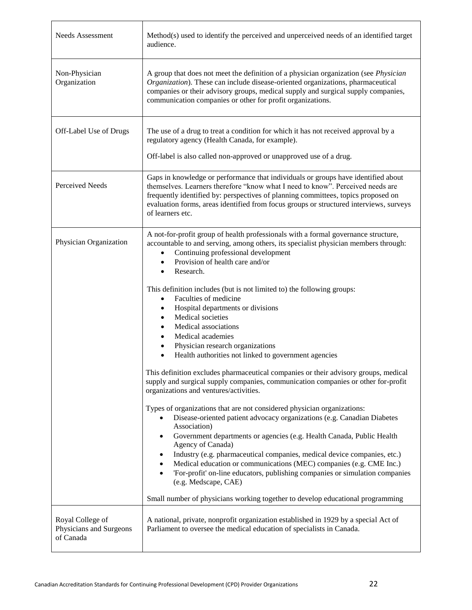| <b>Needs Assessment</b>                                  | Method(s) used to identify the perceived and unperceived needs of an identified target<br>audience.                                                                                                                                                                                                                                                                                                                                                                                                                                                                                                                                                                                                                                                                                                                                                                                                                                                                                                                                                                                                                                                                                                                                                                                                                                                                                                                                                                                                                                                                       |
|----------------------------------------------------------|---------------------------------------------------------------------------------------------------------------------------------------------------------------------------------------------------------------------------------------------------------------------------------------------------------------------------------------------------------------------------------------------------------------------------------------------------------------------------------------------------------------------------------------------------------------------------------------------------------------------------------------------------------------------------------------------------------------------------------------------------------------------------------------------------------------------------------------------------------------------------------------------------------------------------------------------------------------------------------------------------------------------------------------------------------------------------------------------------------------------------------------------------------------------------------------------------------------------------------------------------------------------------------------------------------------------------------------------------------------------------------------------------------------------------------------------------------------------------------------------------------------------------------------------------------------------------|
| Non-Physician<br>Organization                            | A group that does not meet the definition of a physician organization (see <i>Physician</i><br>Organization). These can include disease-oriented organizations, pharmaceutical<br>companies or their advisory groups, medical supply and surgical supply companies,<br>communication companies or other for profit organizations.                                                                                                                                                                                                                                                                                                                                                                                                                                                                                                                                                                                                                                                                                                                                                                                                                                                                                                                                                                                                                                                                                                                                                                                                                                         |
| Off-Label Use of Drugs                                   | The use of a drug to treat a condition for which it has not received approval by a<br>regulatory agency (Health Canada, for example).<br>Off-label is also called non-approved or unapproved use of a drug.                                                                                                                                                                                                                                                                                                                                                                                                                                                                                                                                                                                                                                                                                                                                                                                                                                                                                                                                                                                                                                                                                                                                                                                                                                                                                                                                                               |
| Perceived Needs                                          | Gaps in knowledge or performance that individuals or groups have identified about<br>themselves. Learners therefore "know what I need to know". Perceived needs are<br>frequently identified by: perspectives of planning committees, topics proposed on<br>evaluation forms, areas identified from focus groups or structured interviews, surveys<br>of learners etc.                                                                                                                                                                                                                                                                                                                                                                                                                                                                                                                                                                                                                                                                                                                                                                                                                                                                                                                                                                                                                                                                                                                                                                                                    |
| Physician Organization                                   | A not-for-profit group of health professionals with a formal governance structure,<br>accountable to and serving, among others, its specialist physician members through:<br>Continuing professional development<br>$\bullet$<br>Provision of health care and/or<br>$\bullet$<br>Research.<br>$\bullet$<br>This definition includes (but is not limited to) the following groups:<br>Faculties of medicine<br>$\bullet$<br>Hospital departments or divisions<br>$\bullet$<br>Medical societies<br>$\bullet$<br>Medical associations<br>Medical academies<br>$\bullet$<br>Physician research organizations<br>$\bullet$<br>Health authorities not linked to government agencies<br>$\bullet$<br>This definition excludes pharmaceutical companies or their advisory groups, medical<br>supply and surgical supply companies, communication companies or other for-profit<br>organizations and ventures/activities.<br>Types of organizations that are not considered physician organizations:<br>Disease-oriented patient advocacy organizations (e.g. Canadian Diabetes<br>Association)<br>Government departments or agencies (e.g. Health Canada, Public Health<br>$\bullet$<br>Agency of Canada)<br>Industry (e.g. pharmaceutical companies, medical device companies, etc.)<br>Medical education or communications (MEC) companies (e.g. CME Inc.)<br>$\bullet$<br>'For-profit' on-line educators, publishing companies or simulation companies<br>$\bullet$<br>(e.g. Medscape, CAE)<br>Small number of physicians working together to develop educational programming |
| Royal College of<br>Physicians and Surgeons<br>of Canada | A national, private, nonprofit organization established in 1929 by a special Act of<br>Parliament to oversee the medical education of specialists in Canada.                                                                                                                                                                                                                                                                                                                                                                                                                                                                                                                                                                                                                                                                                                                                                                                                                                                                                                                                                                                                                                                                                                                                                                                                                                                                                                                                                                                                              |